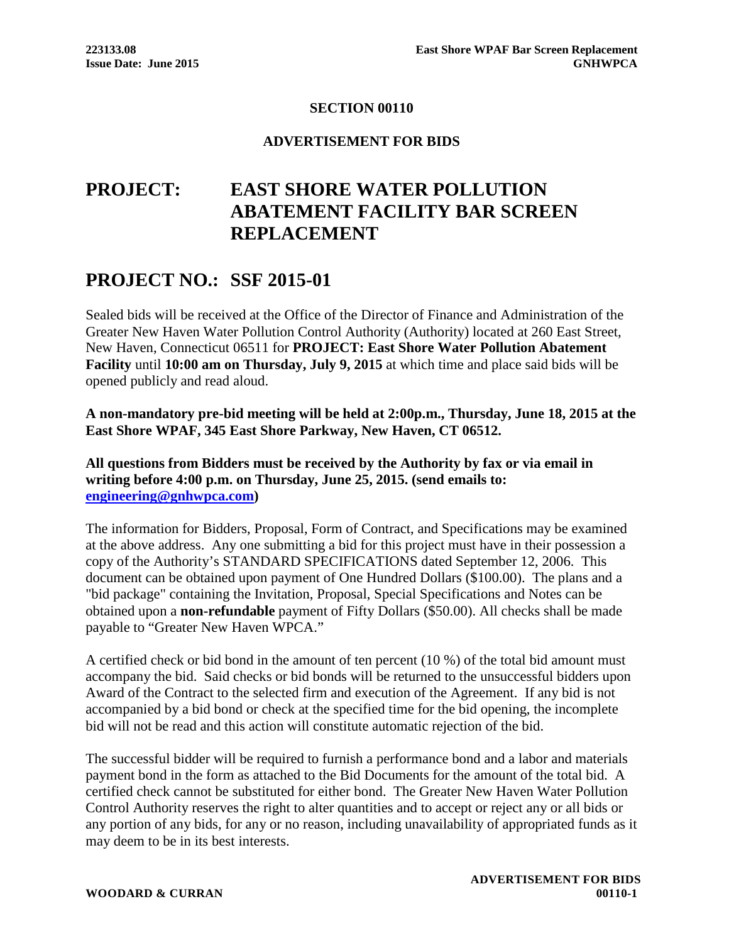### **SECTION 00110**

#### **ADVERTISEMENT FOR BIDS**

# **PROJECT: EAST SHORE WATER POLLUTION ABATEMENT FACILITY BAR SCREEN REPLACEMENT**

## **PROJECT NO.: SSF 2015-01**

Sealed bids will be received at the Office of the Director of Finance and Administration of the Greater New Haven Water Pollution Control Authority (Authority) located at 260 East Street, New Haven, Connecticut 06511 for **PROJECT: East Shore Water Pollution Abatement Facility** until **10:00 am on Thursday, July 9, 2015** at which time and place said bids will be opened publicly and read aloud.

**A non-mandatory pre-bid meeting will be held at 2:00p.m., Thursday, June 18, 2015 at the East Shore WPAF, 345 East Shore Parkway, New Haven, CT 06512.**

**All questions from Bidders must be received by the Authority by fax or via email in writing before 4:00 p.m. on Thursday, June 25, 2015. (send emails to: engineering@gnhwpca.com)**

The information for Bidders, Proposal, Form of Contract, and Specifications may be examined at the above address. Any one submitting a bid for this project must have in their possession a copy of the Authority's STANDARD SPECIFICATIONS dated September 12, 2006. This document can be obtained upon payment of One Hundred Dollars (\$100.00). The plans and a "bid package" containing the Invitation, Proposal, Special Specifications and Notes can be obtained upon a **non-refundable** payment of Fifty Dollars (\$50.00). All checks shall be made payable to "Greater New Haven WPCA."

A certified check or bid bond in the amount of ten percent (10 %) of the total bid amount must accompany the bid. Said checks or bid bonds will be returned to the unsuccessful bidders upon Award of the Contract to the selected firm and execution of the Agreement. If any bid is not accompanied by a bid bond or check at the specified time for the bid opening, the incomplete bid will not be read and this action will constitute automatic rejection of the bid.

The successful bidder will be required to furnish a performance bond and a labor and materials payment bond in the form as attached to the Bid Documents for the amount of the total bid. A certified check cannot be substituted for either bond. The Greater New Haven Water Pollution Control Authority reserves the right to alter quantities and to accept or reject any or all bids or any portion of any bids, for any or no reason, including unavailability of appropriated funds as it may deem to be in its best interests.